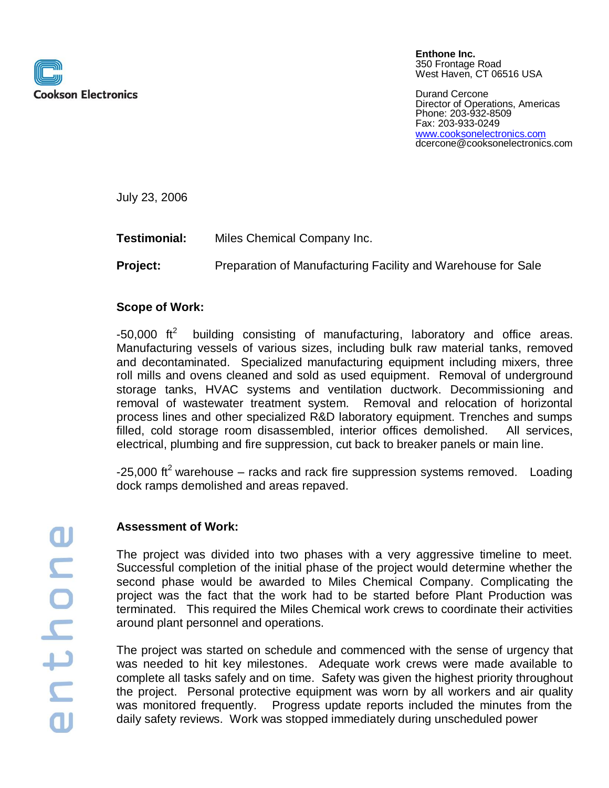

**Enthone Inc.** 350 Frontage Road West Haven, CT 06516 USA

Durand Cercone Director of Operations, Americas Phone: 203-932-8509 Fax: 203-933-0249 [www.cooksonelectronics.com](http://www.cooksonelectronics.com/) dcercone@cooksonelectronics.com

July 23, 2006

**Testimonial:** Miles Chemical Company Inc.

**Project:** Preparation of Manufacturing Facility and Warehouse for Sale

## **Scope of Work:**

 $-50,000$  ft<sup>2</sup> building consisting of manufacturing, laboratory and office areas. Manufacturing vessels of various sizes, including bulk raw material tanks, removed and decontaminated. Specialized manufacturing equipment including mixers, three roll mills and ovens cleaned and sold as used equipment. Removal of underground storage tanks, HVAC systems and ventilation ductwork. Decommissioning and removal of wastewater treatment system. Removal and relocation of horizontal process lines and other specialized R&D laboratory equipment. Trenches and sumps filled, cold storage room disassembled, interior offices demolished. All services, electrical, plumbing and fire suppression, cut back to breaker panels or main line.

-25,000 ft<sup>2</sup> warehouse – racks and rack fire suppression systems removed. Loading dock ramps demolished and areas repaved.

## **Assessment of Work:**

The project was divided into two phases with a very aggressive timeline to meet. Successful completion of the initial phase of the project would determine whether the second phase would be awarded to Miles Chemical Company. Complicating the project was the fact that the work had to be started before Plant Production was terminated. This required the Miles Chemical work crews to coordinate their activities around plant personnel and operations.

The project was started on schedule and commenced with the sense of urgency that was needed to hit key milestones. Adequate work crews were made available to complete all tasks safely and on time. Safety was given the highest priority throughout the project. Personal protective equipment was worn by all workers and air quality was monitored frequently. Progress update reports included the minutes from the daily safety reviews. Work was stopped immediately during unscheduled power